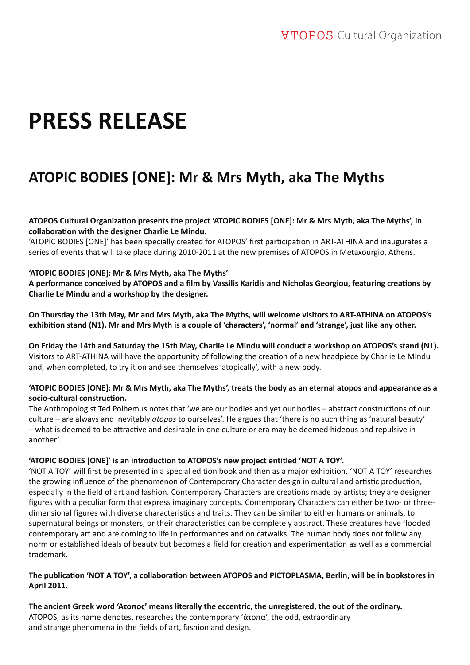# **PRESS RELEASE**

# **ATOPIC BODIES [ΟΝΕ]: Mr & Mrs Myth, aka The Myths**

**ATOPOS Cultural Organizati on presents the project 'ATOPIC BODIES [ONE]: Mr & Mrs Myth, aka The Myths', in collaborati on with the designer Charlie Le Mindu.**

'ATOPIC BODIES [ONE]' has been specially created for ATOPOS' first participation in ART-ATHINA and inaugurates a series of events that will take place during 2010-2011 at the new premises of ATOPOS in Metaxourgio, Athens.

# **'ATOPIC BODIES [ONE]: Mr & Mrs Myth, aka The Myths'**

A performance conceived by ATOPOS and a film by Vassilis Karidis and Nicholas Georgiou, featuring creations by **Charlie Le Mindu and a workshop by the designer.**

**On Thursday the 13th May, Mr and Mrs Myth, aka The Myths, will welcome visitors to ART-ATHINA on ATOPOS's exhibiti on stand (N1). Mr and Mrs Myth is a couple of 'characters', 'normal' and 'strange', just like any other.**

**On Friday the 14th and Saturday the 15th May, Charlie Le Mindu will conduct a workshop on ATOPOS's stand (N1).** Visitors to ART-ATHINA will have the opportunity of following the creation of a new headpiece by Charlie Le Mindu and, when completed, to try it on and see themselves 'atopically', with a new body.

# **'ATOPIC BODIES [ONE]: Mr & Mrs Myth, aka The Myths', treats the body as an eternal atopos and appearance as a socio-cultural constructi on.**

The Anthropologist Ted Polhemus notes that 'we are our bodies and yet our bodies – abstract constructions of our culture – are always and inevitably *atopos* to ourselves'. He argues that 'there is no such thing as 'natural beauty' – what is deemed to be attractive and desirable in one culture or era may be deemed hideous and repulsive in another'.

# **'ATOPIC BODIES [ONE]' is an introduction to ATOPOS's new project entitled 'NOT A TOY'.**

'NOT A TOY' will first be presented in a special edition book and then as a major exhibition. 'NOT A TOY' researches the growing influence of the phenomenon of Contemporary Character design in cultural and artistic production, especially in the field of art and fashion. Contemporary Characters are creations made by artists; they are designer figures with a peculiar form that express imaginary concepts. Contemporary Characters can either be two- or threedimensional figures with diverse characteristics and traits. They can be similar to either humans or animals, to supernatural beings or monsters, or their characteristics can be completely abstract. These creatures have flooded contemporary art and are coming to life in performances and on catwalks. The human body does not follow any norm or established ideals of beauty but becomes a field for creation and experimentation as well as a commercial trademark.

# **The publicati on 'NOT A TOY', a collaborati on between ATOPOS and PICTOPLASMA, Berlin, will be in bookstores in April 2011.**

**The ancient Greek word 'Ατοπος' means literally the eccentric, the unregistered, the out of the ordinary.** ATOPOS, as its name denotes, researches the contemporary 'άτοπα', the odd, extraordinary and strange phenomena in the fields of art, fashion and design.